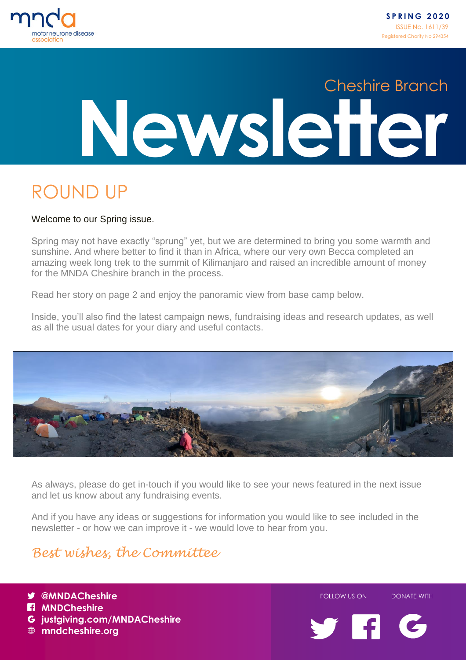

### ROUND UP

#### Welcome to our Spring issue.

Spring may not have exactly "sprung" yet, but we are determined to bring you some warmth and sunshine. And where better to find it than in Africa, where our very own Becca completed an amazing week long trek to the summit of Kilimanjaro and raised an incredible amount of money for the MNDA Cheshire branch in the process.

Read her story on page 2 and enjoy the panoramic view from base camp below.

Inside, you'll also find the latest campaign news, fundraising ideas and research updates, as well as all the usual dates for your diary and useful contacts.



As always, please do get in-touch if you would like to see your news featured in the next issue and let us know about any fundraising events.

And if you have any ideas or suggestions for information you would like to see included in the newsletter - or how we can improve it - we would love to hear from you.

#### *Best wishes, the Committee*

justgiving.com/MNDACheshire **W** @MNDACheshire **FOLLOW US ON DONATE WITH MI** MNDCheshire **mndcheshire.org**

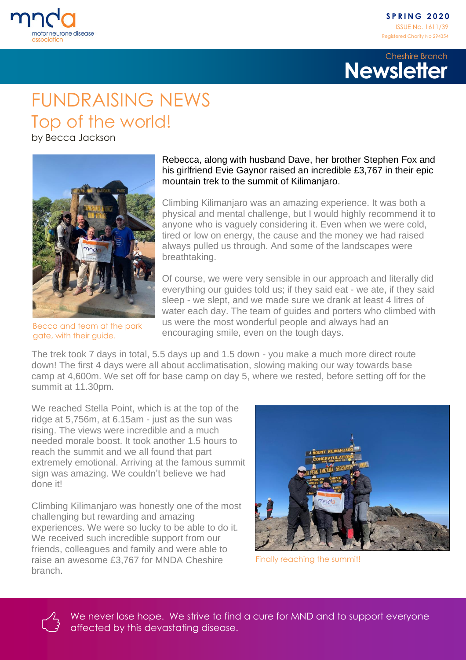

#### FUNDRAISING NEWS Top of the world!

by Becca Jackson



Becca and team at the park gate, with their guide.

#### Rebecca, along with husband Dave, her brother Stephen Fox and his girlfriend Evie Gaynor raised an incredible £3,767 in their epic mountain trek to the summit of Kilimanjaro.

Climbing Kilimanjaro was an amazing experience. It was both a physical and mental challenge, but I would highly recommend it to anyone who is vaguely considering it. Even when we were cold, tired or low on energy, the cause and the money we had raised always pulled us through. And some of the landscapes were breathtaking.

Of course, we were very sensible in our approach and literally did everything our guides told us; if they said eat - we ate, if they said sleep - we slept, and we made sure we drank at least 4 litres of water each day. The team of guides and porters who climbed with us were the most wonderful people and always had an encouraging smile, even on the tough days.

The trek took 7 days in total, 5.5 days up and 1.5 down - you make a much more direct route down! The first 4 days were all about acclimatisation, slowing making our way towards base camp at 4,600m. We set off for base camp on day 5, where we rested, before setting off for the summit at 11.30pm.

We reached Stella Point, which is at the top of the ridge at 5,756m, at 6.15am - just as the sun was rising. The views were incredible and a much needed morale boost. It took another 1.5 hours to reach the summit and we all found that part extremely emotional. Arriving at the famous summit sign was amazing. We couldn't believe we had done it!

Climbing Kilimanjaro was honestly one of the most challenging but rewarding and amazing experiences. We were so lucky to be able to do it. We received such incredible support from our friends, colleagues and family and were able to raise an awesome £3,767 for MNDA Cheshire branch.



Finally reaching the summit!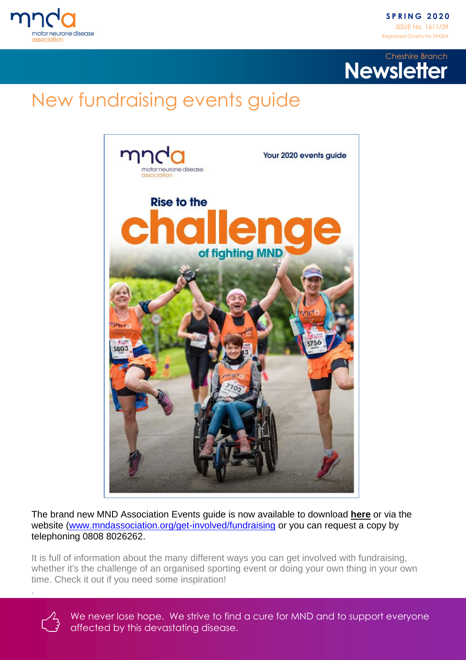

# New fundraising events guide



The brand new MND Association Events guide is now available to download **here** or via the website [\(www.mndassociation.org/get-involved/fundraising](http://www.mndassociation.org/get-involved/fundraising) or you can request a copy by telephoning 0808 8026262.

It is full of information about the many different ways you can get involved with fundraising, whether it's the challenge of an organised sporting event or doing your own thing in your own time. Check it out if you need some inspiration!



.

We never lose hope. We strive to find a cure for MND and to support everyone affected by this devastating disease.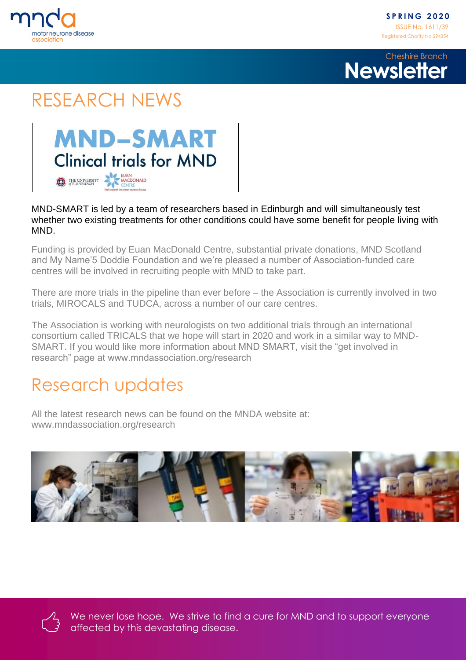

#### RESEARCH NEWS



#### MND-SMART is led by a team of researchers based in Edinburgh and will simultaneously test whether two existing treatments for other conditions could have some benefit for people living with MND.

Funding is provided by Euan MacDonald Centre, substantial private donations, MND Scotland and My Name'5 Doddie Foundation and we're pleased a number of Association-funded care centres will be involved in recruiting people with MND to take part.

There are more trials in the pipeline than ever before – the Association is currently involved in two trials, MIROCALS and TUDCA, across a number of our care centres.

The Association is working with neurologists on two additional trials through an international consortium called TRICALS that we hope will start in 2020 and work in a similar way to MND-SMART. If you would like more information about MND SMART, visit the "get involved in research" page at www.mndassociation.org/research

#### Research updates

All the latest research news can be found on the MNDA website at: [www.mn](http://www.m/)dassociation.org/research



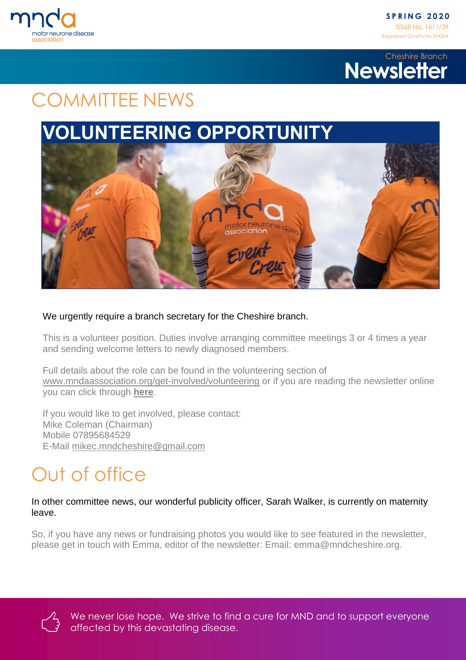



#### COMMITTEE NEWS

#### **VOLUNTEERING OPPORTUNITY**



#### We urgently require a branch secretary for the Cheshire branch.

This is a volunteer position. Duties involve arranging committee meetings 3 or 4 times a year and sending welcome letters to newly diagnosed members.

Full details about the role can be found in the volunteering section of [www.mndaassociation.org/get-involved/volunteering](http://www.mndaassociation.org/get-involved/volunteering) or if you are reading the newsletter online you can click through **here**.

If you would like to get involved, please contact: Mike Coleman (Chairman) Mobile 07895684529 E-Mail [mikec.mndcheshire@gmail.com](mailto:mikec.mndcheshire@gmail.com)

# Out of office

In other committee news, our wonderful publicity officer, Sarah Walker, is currently on maternity leave.

So, if you have any news or fundraising photos you would like to see featured in the newsletter, please get in touch with Emma, editor of the newsletter: Email: emma@mndcheshire.org.

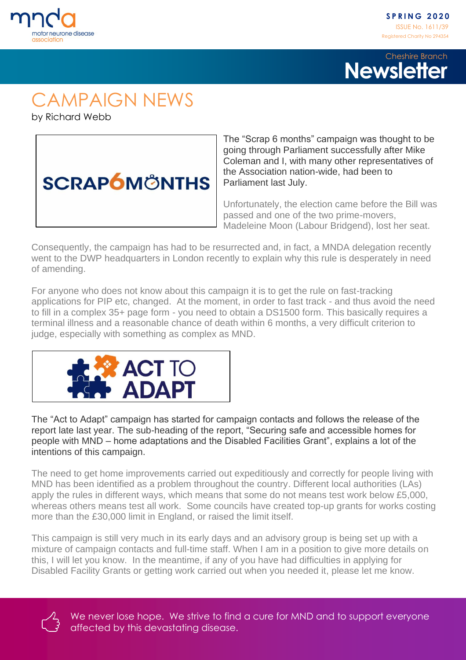



# CAMPAIGN NEWS

by Richard Webb



The "Scrap 6 months" campaign was thought to be going through Parliament successfully after Mike Coleman and I, with many other representatives of the Association nation-wide, had been to Parliament last July.

Unfortunately, the election came before the Bill was passed and one of the two prime-movers, Madeleine Moon (Labour Bridgend), lost her seat.

Consequently, the campaign has had to be resurrected and, in fact, a MNDA delegation recently went to the DWP headquarters in London recently to explain why this rule is desperately in need of amending.

For anyone who does not know about this campaign it is to get the rule on fast-tracking applications for PIP etc, changed. At the moment, in order to fast track - and thus avoid the need to fill in a complex 35+ page form - you need to obtain a DS1500 form. This basically requires a terminal illness and a reasonable chance of death within 6 months, a very difficult criterion to judge, especially with something as complex as MND.



The "Act to Adapt" campaign has started for campaign contacts and follows the release of the report late last year. The sub-heading of the report, "Securing safe and accessible homes for people with MND – home adaptations and the Disabled Facilities Grant", explains a lot of the intentions of this campaign.

The need to get home improvements carried out expeditiously and correctly for people living with MND has been identified as a problem throughout the country. Different local authorities (LAs) apply the rules in different ways, which means that some do not means test work below £5,000, whereas others means test all work. Some councils have created top-up grants for works costing more than the £30,000 limit in England, or raised the limit itself.

This campaign is still very much in its early days and an advisory group is being set up with a mixture of campaign contacts and full-time staff. When I am in a position to give more details on this, I will let you know. In the meantime, if any of you have had difficulties in applying for Disabled Facility Grants or getting work carried out when you needed it, please let me know.

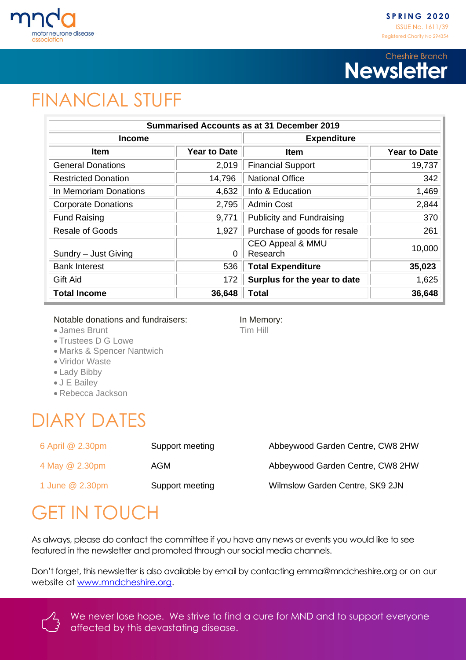

### FINANCIAL STUFF

| <b>Summarised Accounts as at 31 December 2019</b> |                     |                                         |                     |  |  |
|---------------------------------------------------|---------------------|-----------------------------------------|---------------------|--|--|
| <b>Income</b>                                     |                     | <b>Expenditure</b>                      |                     |  |  |
| <b>Item</b>                                       | <b>Year to Date</b> | <b>Item</b>                             | <b>Year to Date</b> |  |  |
| <b>General Donations</b>                          | 2,019               | <b>Financial Support</b>                | 19,737              |  |  |
| <b>Restricted Donation</b>                        | 14,796              | <b>National Office</b>                  | 342                 |  |  |
| In Memoriam Donations                             | 4,632               | Info & Education                        | 1,469               |  |  |
| <b>Corporate Donations</b>                        | 2,795               | <b>Admin Cost</b>                       | 2,844               |  |  |
| <b>Fund Raising</b>                               | 9,771               | <b>Publicity and Fundraising</b>        | 370                 |  |  |
| <b>Resale of Goods</b>                            | 1,927               | Purchase of goods for resale            | 261                 |  |  |
| Sundry - Just Giving                              | 0                   | <b>CEO Appeal &amp; MMU</b><br>Research | 10,000              |  |  |
| <b>Bank Interest</b>                              | 536                 | <b>Total Expenditure</b>                | 35,023              |  |  |
| <b>Gift Aid</b>                                   | 172                 | Surplus for the year to date            | 1,625               |  |  |
| <b>Total Income</b>                               | 36,648              | Total                                   | 36,648              |  |  |

Notable donations and fundraisers: In Memory:

• James Brunt Tim Hill

- Trustees D G Lowe
- Marks & Spencer Nantwich
- Viridor Waste
- Lady Bibby
- J E Bailey
- Rebecca Jackson

### DIARY DATES

| 6 April @ 2.30pm | Support meeting | Abbeywood Garden Centre, CW8 2HW |
|------------------|-----------------|----------------------------------|
| 4 May @ 2.30pm   | AGM             | Abbeywood Garden Centre, CW8 2HW |
| 1 June @ 2.30pm  | Support meeting | Wilmslow Garden Centre, SK9 2JN  |

# GET IN TOUCH

As always, please do contact the committee if you have any news or events you would like to see featured in the newsletter and promoted through our social media channels.

Don't forget, this newsletter is also available by email by contacting [emma@mndcheshire.org](mailto:emma@mndcheshire.org) or on our website at [www.mndcheshire.org.](http://www.mndcheshire.org/)